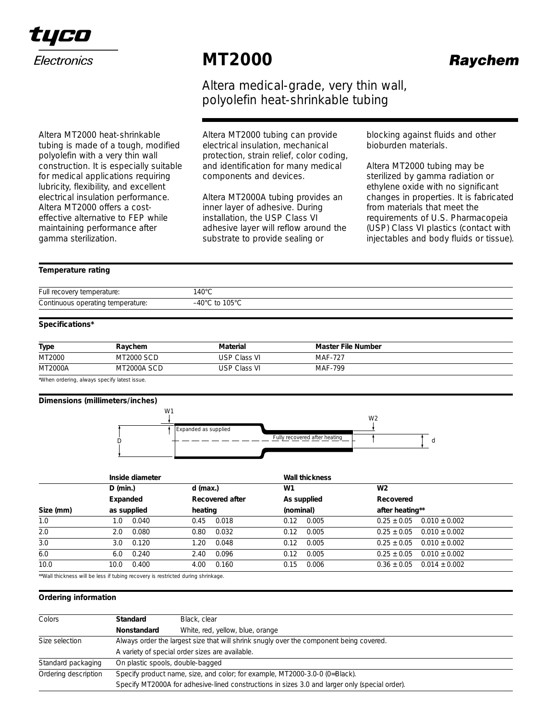

Altera MT2000 heat-shrinkable tubing is made of a tough, modified polyolefin with a very thin wall construction. It is especially suitable for medical applications requiring lubricity, flexibility, and excellent electrical insulation performance. Altera MT2000 offers a costeffective alternative to FEP while maintaining performance after

# **MT2000**

Altera medical-grade, very thin wall, polyolefin heat-shrinkable tubing

Altera MT2000 tubing can provide electrical insulation, mechanical protection, strain relief, color coding, and identification for many medical components and devices.

Altera MT2000A tubing provides an inner layer of adhesive. During installation, the USP Class VI adhesive layer will reflow around the substrate to provide sealing or

blocking against fluids and other bioburden materials.

Altera MT2000 tubing may be sterilized by gamma radiation or ethylene oxide with no significant changes in properties. It is fabricated from materials that meet the requirements of U.S. Pharmacopeia (USP) Class VI plastics (contact with injectables and body fluids or tissue).

# *Temperature rating*

gamma sterilization.

| Full recovery temperature:        | 140°C                                                       |
|-----------------------------------|-------------------------------------------------------------|
| Continuous operating temperature: | $\mathsf{\scriptstyle\mathsf{J}}$ to 105°C<br>$-40^{\circ}$ |

# *Specifications\**

| <b>Type</b>    | Raychem            | Material            | Master File Number |  |
|----------------|--------------------|---------------------|--------------------|--|
| MT2000         | <b>MT2000 SCD</b>  | <b>USP Class VI</b> | <b>MAF-727</b>     |  |
| <b>MT2000A</b> | <b>MT2000A SCD</b> | <b>USP Class VI</b> | MAF-799            |  |

\*When ordering, always specify latest issue.

#### *Dimensions (***millimeters***/inches)*



|           | Inside diameter |                 | <b>Wall thickness</b> |                   |
|-----------|-----------------|-----------------|-----------------------|-------------------|
|           | $D$ (min.)      | $d$ (max.)      | W1                    | W <sub>2</sub>    |
|           | Expanded        | Recovered after | As supplied           | Recovered         |
| Size (mm) | as supplied     | heating         | (nominal)             | after heating**   |
| 1.0       | 0.040           | 0.018           | 0.005                 | $0.25 \pm 0.05$   |
|           | 1.0             | 0.45            | 0.12                  | $0.010 + 0.002$   |
| 2.0       | 0.080           | 0.032           | 0.005                 | $0.25 \pm 0.05$   |
|           | 2.0             | 0.80            | 0.12                  | $0.010 + 0.002$   |
| 3.0       | 0.120           | 0.048           | 0.005                 | $0.25 \pm 0.05$   |
|           | 3.0             | 1.20            | 0.12                  | $0.010 + 0.002$   |
| 6.0       | 0.240           | 0.096           | 0.005                 | $0.25 \pm 0.05$   |
|           | 6.0             | 2.40            | 0.12                  | $0.010 + 0.002$   |
| 10.0      | 0.400           | 0.160           | 0.15                  | $0.014 \pm 0.002$ |
|           | 10.0            | 4.00            | 0.006                 | $0.36 \pm 0.05$   |

\*\*Wall thickness will be less if tubing recovery is restricted during shrinkage.

### *Ordering information*

| Colors               | Standard<br>Black, clear                                                                       |                                  |  |  |  |
|----------------------|------------------------------------------------------------------------------------------------|----------------------------------|--|--|--|
|                      |                                                                                                |                                  |  |  |  |
|                      | Nonstandard                                                                                    | White, red, yellow, blue, orange |  |  |  |
| Size selection       | Always order the largest size that will shrink snugly over the component being covered.        |                                  |  |  |  |
|                      | A variety of special order sizes are available.                                                |                                  |  |  |  |
| Standard packaging   |                                                                                                | On plastic spools, double-bagged |  |  |  |
| Ordering description | Specify product name, size, and color; for example, MT2000-3.0-0 (0=Black).                    |                                  |  |  |  |
|                      | Specify MT2000A for adhesive-lined constructions in sizes 3.0 and larger only (special order). |                                  |  |  |  |